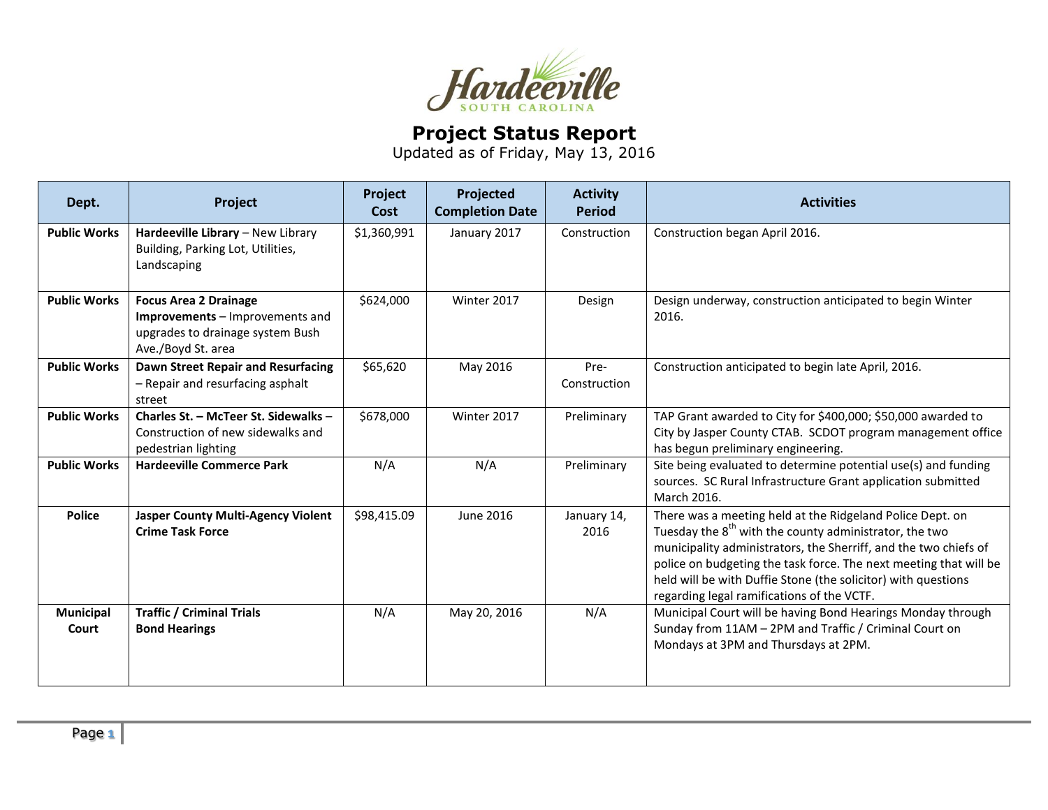

## **Project Status Report**

Updated as of Friday, May 13, 2016

| Dept.                     | Project                                                                                                                   | Project<br>Cost | Projected<br><b>Completion Date</b> | <b>Activity</b><br><b>Period</b> | <b>Activities</b>                                                                                                                                                                                                                                                                                                                                                                       |
|---------------------------|---------------------------------------------------------------------------------------------------------------------------|-----------------|-------------------------------------|----------------------------------|-----------------------------------------------------------------------------------------------------------------------------------------------------------------------------------------------------------------------------------------------------------------------------------------------------------------------------------------------------------------------------------------|
| <b>Public Works</b>       | Hardeeville Library - New Library<br>Building, Parking Lot, Utilities,<br>Landscaping                                     | \$1,360,991     | January 2017                        | Construction                     | Construction began April 2016.                                                                                                                                                                                                                                                                                                                                                          |
| <b>Public Works</b>       | <b>Focus Area 2 Drainage</b><br>Improvements - Improvements and<br>upgrades to drainage system Bush<br>Ave./Boyd St. area | \$624,000       | Winter 2017                         | Design                           | Design underway, construction anticipated to begin Winter<br>2016.                                                                                                                                                                                                                                                                                                                      |
| <b>Public Works</b>       | Dawn Street Repair and Resurfacing<br>- Repair and resurfacing asphalt<br>street                                          | \$65,620        | May 2016                            | Pre-<br>Construction             | Construction anticipated to begin late April, 2016.                                                                                                                                                                                                                                                                                                                                     |
| <b>Public Works</b>       | Charles St. - McTeer St. Sidewalks -<br>Construction of new sidewalks and<br>pedestrian lighting                          | \$678,000       | Winter 2017                         | Preliminary                      | TAP Grant awarded to City for \$400,000; \$50,000 awarded to<br>City by Jasper County CTAB. SCDOT program management office<br>has begun preliminary engineering.                                                                                                                                                                                                                       |
| <b>Public Works</b>       | <b>Hardeeville Commerce Park</b>                                                                                          | N/A             | N/A                                 | Preliminary                      | Site being evaluated to determine potential use(s) and funding<br>sources. SC Rural Infrastructure Grant application submitted<br>March 2016.                                                                                                                                                                                                                                           |
| <b>Police</b>             | <b>Jasper County Multi-Agency Violent</b><br><b>Crime Task Force</b>                                                      | \$98,415.09     | June 2016                           | January 14,<br>2016              | There was a meeting held at the Ridgeland Police Dept. on<br>Tuesday the 8 <sup>th</sup> with the county administrator, the two<br>municipality administrators, the Sherriff, and the two chiefs of<br>police on budgeting the task force. The next meeting that will be<br>held will be with Duffie Stone (the solicitor) with questions<br>regarding legal ramifications of the VCTF. |
| <b>Municipal</b><br>Court | <b>Traffic / Criminal Trials</b><br><b>Bond Hearings</b>                                                                  | N/A             | May 20, 2016                        | N/A                              | Municipal Court will be having Bond Hearings Monday through<br>Sunday from 11AM - 2PM and Traffic / Criminal Court on<br>Mondays at 3PM and Thursdays at 2PM.                                                                                                                                                                                                                           |